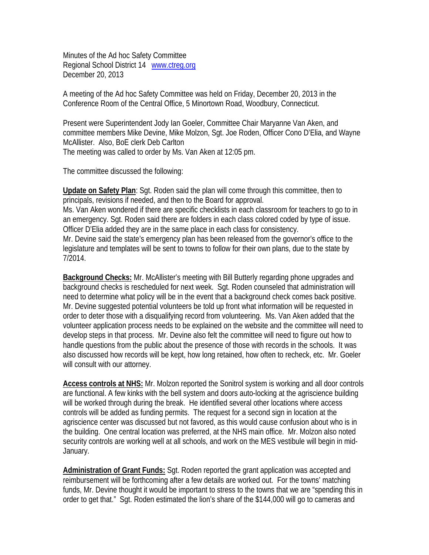Minutes of the Ad hoc Safety Committee Regional School District 14 www.ctreg.org December 20, 2013

A meeting of the Ad hoc Safety Committee was held on Friday, December 20, 2013 in the Conference Room of the Central Office, 5 Minortown Road, Woodbury, Connecticut.

Present were Superintendent Jody Ian Goeler, Committee Chair Maryanne Van Aken, and committee members Mike Devine, Mike Molzon, Sgt. Joe Roden, Officer Cono D'Elia, and Wayne McAllister. Also, BoE clerk Deb Carlton The meeting was called to order by Ms. Van Aken at 12:05 pm.

The committee discussed the following:

**Update on Safety Plan**: Sgt. Roden said the plan will come through this committee, then to principals, revisions if needed, and then to the Board for approval. Ms. Van Aken wondered if there are specific checklists in each classroom for teachers to go to in an emergency. Sgt. Roden said there are folders in each class colored coded by type of issue. Officer D'Elia added they are in the same place in each class for consistency. Mr. Devine said the state's emergency plan has been released from the governor's office to the legislature and templates will be sent to towns to follow for their own plans, due to the state by 7/2014.

**Background Checks:** Mr. McAllister's meeting with Bill Butterly regarding phone upgrades and background checks is rescheduled for next week. Sgt. Roden counseled that administration will need to determine what policy will be in the event that a background check comes back positive. Mr. Devine suggested potential volunteers be told up front what information will be requested in order to deter those with a disqualifying record from volunteering. Ms. Van Aken added that the volunteer application process needs to be explained on the website and the committee will need to develop steps in that process. Mr. Devine also felt the committee will need to figure out how to handle questions from the public about the presence of those with records in the schools. It was also discussed how records will be kept, how long retained, how often to recheck, etc. Mr. Goeler will consult with our attorney.

**Access controls at NHS:** Mr. Molzon reported the Sonitrol system is working and all door controls are functional. A few kinks with the bell system and doors auto-locking at the agriscience building will be worked through during the break. He identified several other locations where access controls will be added as funding permits. The request for a second sign in location at the agriscience center was discussed but not favored, as this would cause confusion about who is in the building. One central location was preferred, at the NHS main office. Mr. Molzon also noted security controls are working well at all schools, and work on the MES vestibule will begin in mid-January.

**Administration of Grant Funds:** Sgt. Roden reported the grant application was accepted and reimbursement will be forthcoming after a few details are worked out. For the towns' matching funds, Mr. Devine thought it would be important to stress to the towns that we are "spending this in order to get that." Sgt. Roden estimated the lion's share of the \$144,000 will go to cameras and